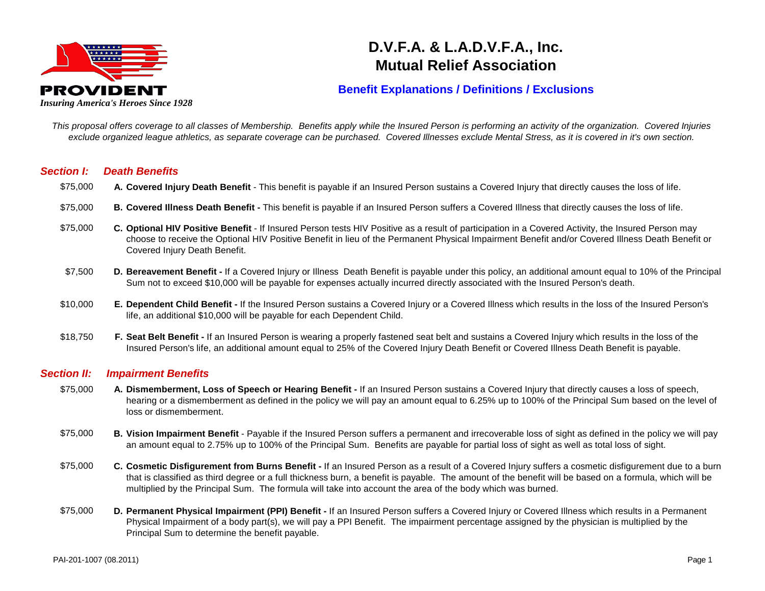

# **D.V.F.A. & L.A.D.V.F.A., Inc. Mutual Relief Association**

## **Benefit Explanations / Definitions / Exclusions**

*This proposal offers coverage to all classes of Membership. Benefits apply while the Insured Person is performing an activity of the organization. Covered Injuries exclude organized league athletics, as separate coverage can be purchased. Covered Illnesses exclude Mental Stress, as it is covered in it's own section.* 

#### *Section I: Death Benefits*

- $$75.000$ **Covered Injury Death Benefit** - This benefit is payable if an Insured Person sustains a Covered Injury that directly causes the loss of life.
- \$75,000 **B. Covered Illness Death Benefit -** This benefit is payable if an Insured Person suffers a Covered Illness that directly causes the loss of life.
- $$75.000$ **Optional HIV Positive Benefit** - If Insured Person tests HIV Positive as a result of participation in a Covered Activity, the Insured Person may choose to receive the Optional HIV Positive Benefit in lieu of the Permanent Physical Impairment Benefit and/or Covered Illness Death Benefit or Covered Injury Death Benefit.
- $$7,500$ **Bereavement Benefit -** If a Covered Injury or Illness Death Benefit is payable under this policy, an additional amount equal to 10% of the Principal Sum not to exceed \$10,000 will be payable for expenses actually incurred directly associated with the Insured Person's death.
- \$10,000 **E. Dependent Child Benefit -** If the Insured Person sustains a Covered Injury or a Covered Illness which results in the loss of the Insured Person's life, an additional \$10,000 will be payable for each Dependent Child.
- \$18,750 **F. Seat Belt Benefit -** If an Insured Person is wearing a properly fastened seat belt and sustains a Covered Injury which results in the loss of the Insured Person's life, an additional amount equal to 25% of the Covered Injury Death Benefit or Covered Illness Death Benefit is payable.

#### *Section II: Impairment Benefits*

- $$75.000$ **Dismemberment, Loss of Speech or Hearing Benefit -** If an Insured Person sustains a Covered Injury that directly causes a loss of speech, hearing or a dismemberment as defined in the policy we will pay an amount equal to 6.25% up to 100% of the Principal Sum based on the level of loss or dismemberment.
- \$75,000 **B. Vision Impairment Benefit** - Payable if the Insured Person suffers a permanent and irrecoverable loss of sight as defined in the policy we will pay an amount equal to 2.75% up to 100% of the Principal Sum. Benefits are payable for partial loss of sight as well as total loss of sight.
- $$75.000$ **Cosmetic Disfigurement from Burns Benefit -** If an Insured Person as a result of a Covered Injury suffers a cosmetic disfigurement due to a burn that is classified as third degree or a full thickness burn, a benefit is payable. The amount of the benefit will be based on a formula, which will be multiplied by the Principal Sum. The formula will take into account the area of the body which was burned.
- \$75,000 **D. Permanent Physical Impairment (PPI) Benefit -** If an Insured Person suffers a Covered Injury or Covered Illness which results in a Permanent Physical Impairment of a body part(s), we will pay a PPI Benefit. The impairment percentage assigned by the physician is multiplied by the Principal Sum to determine the benefit payable.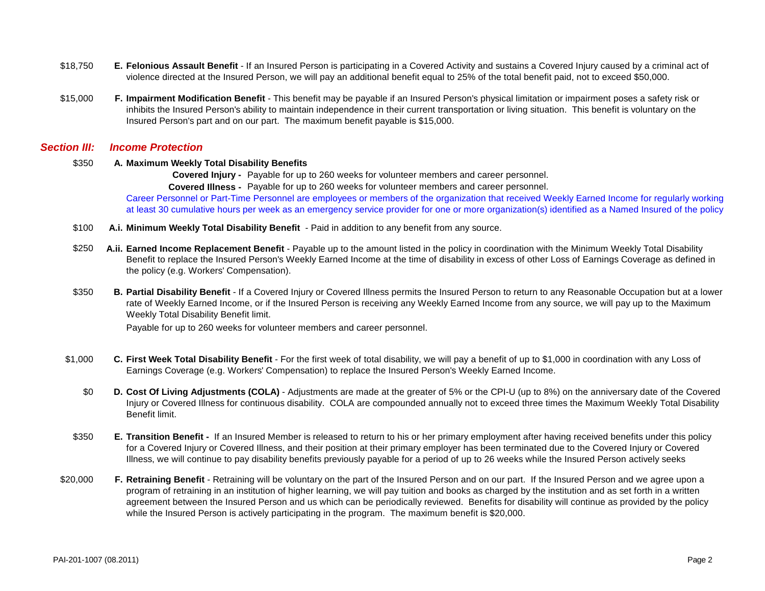- $$18.750$ **Felonious Assault Benefit** - If an Insured Person is participating in a Covered Activity and sustains a Covered Injury caused by a criminal act of violence directed at the Insured Person, we will pay an additional benefit equal to 25% of the total benefit paid, not to exceed \$50,000.
- $$15,000$ **Impairment Modification Benefit** - This benefit may be payable if an Insured Person's physical limitation or impairment poses a safety risk or inhibits the Insured Person's ability to maintain independence in their current transportation or living situation. This benefit is voluntary on the Insured Person's part and on our part. The maximum benefit payable is \$15,000.

#### *Section III: Income Protection*

#### $$350$ **Maximum Weekly Total Disability Benefits**

**Covered Injury -** Payable for up to 260 weeks for volunteer members and career personnel.

**Covered Illness -** Payable for up to 260 weeks for volunteer members and career personnel.

Career Personnel or Part-Time Personnel are employees or members of the organization that received Weekly Earned Income for regularly working at least 30 cumulative hours per week as an emergency service provider for one or more organization(s) identified as a Named Insured of the policy

- $$100$ **Minimum Weekly Total Disability Benefit** - Paid in addition to any benefit from any source.
- \$250 **A.ii. Earned Income Replacement Benefit** - Payable up to the amount listed in the policy in coordination with the Minimum Weekly Total Disability Benefit to replace the Insured Person's Weekly Earned Income at the time of disability in excess of other Loss of Earnings Coverage as defined in the policy (e.g. Workers' Compensation).
- \$350 **B. Partial Disability Benefit** - If a Covered Injury or Covered Illness permits the Insured Person to return to any Reasonable Occupation but at a lower rate of Weekly Earned Income, or if the Insured Person is receiving any Weekly Earned Income from any source, we will pay up to the Maximum Weekly Total Disability Benefit limit.

Payable for up to 260 weeks for volunteer members and career personnel.

- \$1,000 **C. First Week Total Disability Benefit** - For the first week of total disability, we will pay a benefit of up to \$1,000 in coordination with any Loss of Earnings Coverage (e.g. Workers' Compensation) to replace the Insured Person's Weekly Earned Income.
	- \$0 **D. Cost Of Living Adjustments (COLA)** Adjustments are made at the greater of 5% or the CPI-U (up to 8%) on the anniversary date of the Covered Injury or Covered Illness for continuous disability. COLA are compounded annually not to exceed three times the Maximum Weekly Total Disability Benefit limit.
- \$350 **E. Transition Benefit -** If an Insured Member is released to return to his or her primary employment after having received benefits under this policy for a Covered Injury or Covered Illness, and their position at their primary employer has been terminated due to the Covered Injury or Covered Illness, we will continue to pay disability benefits previously payable for a period of up to 26 weeks while the Insured Person actively seeks
- \$20,000 **F. Retraining Benefit** - Retraining will be voluntary on the part of the Insured Person and on our part. If the Insured Person and we agree upon a program of retraining in an institution of higher learning, we will pay tuition and books as charged by the institution and as set forth in a written agreement between the Insured Person and us which can be periodically reviewed. Benefits for disability will continue as provided by the policy while the Insured Person is actively participating in the program. The maximum benefit is \$20,000.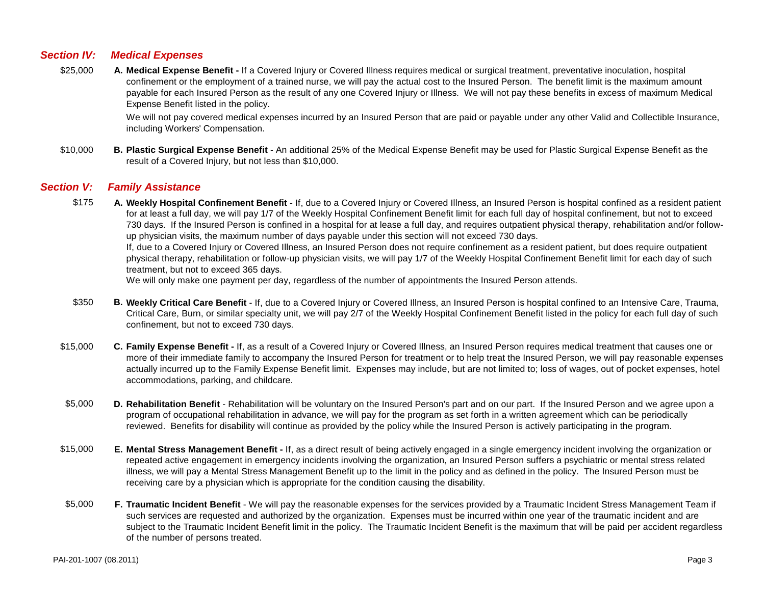### *Section IV: Medical Expenses*

 $$25,000$ **Medical Expense Benefit -** If a Covered Injury or Covered Illness requires medical or surgical treatment, preventative inoculation, hospital confinement or the employment of a trained nurse, we will pay the actual cost to the Insured Person. The benefit limit is the maximum amount payable for each Insured Person as the result of any one Covered Injury or Illness. We will not pay these benefits in excess of maximum Medical Expense Benefit listed in the policy.

> We will not pay covered medical expenses incurred by an Insured Person that are paid or payable under any other Valid and Collectible Insurance, including Workers' Compensation.

\$10,000 **B. Plastic Surgical Expense Benefit** - An additional 25% of the Medical Expense Benefit may be used for Plastic Surgical Expense Benefit as the result of a Covered Injury, but not less than \$10,000.

#### *Section V: Family Assistance*

\$175 **A. Weekly Hospital Confinement Benefit** - If, due to a Covered Injury or Covered Illness, an Insured Person is hospital confined as a resident patient for at least a full day, we will pay 1/7 of the Weekly Hospital Confinement Benefit limit for each full day of hospital confinement, but not to exceed 730 days. If the Insured Person is confined in a hospital for at lease a full day, and requires outpatient physical therapy, rehabilitation and/or followup physician visits, the maximum number of days payable under this section will not exceed 730 days. If, due to a Covered Injury or Covered Illness, an Insured Person does not require confinement as a resident patient, but does require outpatient physical therapy, rehabilitation or follow-up physician visits, we will pay 1/7 of the Weekly Hospital Confinement Benefit limit for each day of such treatment, but not to exceed 365 days.

We will only make one payment per day, regardless of the number of appointments the Insured Person attends.

- \$350 **B. Weekly Critical Care Benefit** - If, due to a Covered Injury or Covered Illness, an Insured Person is hospital confined to an Intensive Care, Trauma, Critical Care, Burn, or similar specialty unit, we will pay 2/7 of the Weekly Hospital Confinement Benefit listed in the policy for each full day of such confinement, but not to exceed 730 days.
- $$15,000$ **Family Expense Benefit -** If, as a result of a Covered Injury or Covered Illness, an Insured Person requires medical treatment that causes one or more of their immediate family to accompany the Insured Person for treatment or to help treat the Insured Person, we will pay reasonable expenses actually incurred up to the Family Expense Benefit limit. Expenses may include, but are not limited to; loss of wages, out of pocket expenses, hotel accommodations, parking, and childcare.
- \$5,000 **D. Rehabilitation Benefit** - Rehabilitation will be voluntary on the Insured Person's part and on our part. If the Insured Person and we agree upon a program of occupational rehabilitation in advance, we will pay for the program as set forth in a written agreement which can be periodically reviewed. Benefits for disability will continue as provided by the policy while the Insured Person is actively participating in the program.
- \$15,000 **E. Mental Stress Management Benefit -** If, as a direct result of being actively engaged in a single emergency incident involving the organization or repeated active engagement in emergency incidents involving the organization, an Insured Person suffers a psychiatric or mental stress related illness, we will pay a Mental Stress Management Benefit up to the limit in the policy and as defined in the policy. The Insured Person must be receiving care by a physician which is appropriate for the condition causing the disability.
- \$5,000 **F. Traumatic Incident Benefit** - We will pay the reasonable expenses for the services provided by a Traumatic Incident Stress Management Team if such services are requested and authorized by the organization. Expenses must be incurred within one year of the traumatic incident and are subject to the Traumatic Incident Benefit limit in the policy. The Traumatic Incident Benefit is the maximum that will be paid per accident regardless of the number of persons treated.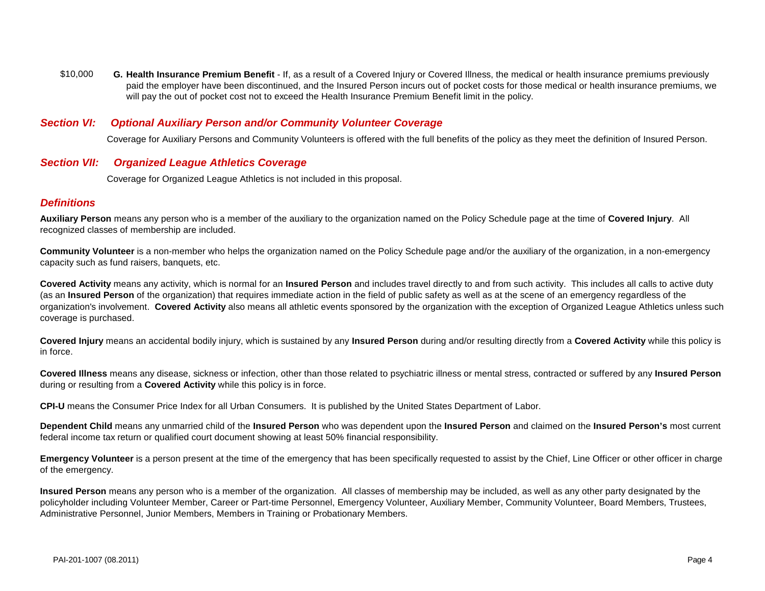\$10,000 **G. Health Insurance Premium Benefit** - If, as a result of a Covered Injury or Covered Illness, the medical or health insurance premiums previously paid the employer have been discontinued, and the Insured Person incurs out of pocket costs for those medical or health insurance premiums, we will pay the out of pocket cost not to exceed the Health Insurance Premium Benefit limit in the policy.

#### *Section VI: Optional Auxiliary Person and/or Community Volunteer Coverage*

Coverage for Auxiliary Persons and Community Volunteers is offered with the full benefits of the policy as they meet the definition of Insured Person.

#### *Section VII: Organized League Athletics Coverage*

Coverage for Organized League Athletics is not included in this proposal.

#### *Definitions*

**Auxiliary Person** means any person who is a member of the auxiliary to the organization named on the Policy Schedule page at the time of **Covered Injury**. All recognized classes of membership are included.

**Community Volunteer** is a non-member who helps the organization named on the Policy Schedule page and/or the auxiliary of the organization, in a non-emergency capacity such as fund raisers, banquets, etc.

**Covered Activity** means any activity, which is normal for an **Insured Person** and includes travel directly to and from such activity. This includes all calls to active duty (as an **Insured Person** of the organization) that requires immediate action in the field of public safety as well as at the scene of an emergency regardless of the organization's involvement. **Covered Activity** also means all athletic events sponsored by the organization with the exception of Organized League Athletics unless such coverage is purchased.

**Covered Injury** means an accidental bodily injury, which is sustained by any **Insured Person** during and/or resulting directly from a **Covered Activity** while this policy is in force.

**Covered Illness** means any disease, sickness or infection, other than those related to psychiatric illness or mental stress, contracted or suffered by any **Insured Person**  during or resulting from a **Covered Activity** while this policy is in force.

**CPI-U** means the Consumer Price Index for all Urban Consumers. It is published by the United States Department of Labor.

**Dependent Child** means any unmarried child of the **Insured Person** who was dependent upon the **Insured Person** and claimed on the **Insured Person's** most current federal income tax return or qualified court document showing at least 50% financial responsibility.

**Emergency Volunteer** is a person present at the time of the emergency that has been specifically requested to assist by the Chief, Line Officer or other officer in charge of the emergency.

**Insured Person** means any person who is a member of the organization. All classes of membership may be included, as well as any other party designated by the policyholder including Volunteer Member, Career or Part-time Personnel, Emergency Volunteer, Auxiliary Member, Community Volunteer, Board Members, Trustees, Administrative Personnel, Junior Members, Members in Training or Probationary Members.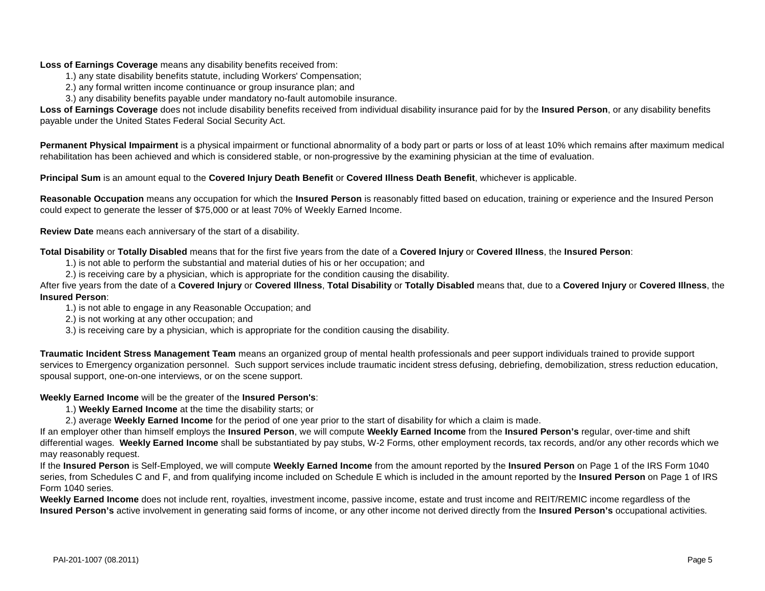#### **Loss of Earnings Coverage** means any disability benefits received from:

- 1.) any state disability benefits statute, including Workers' Compensation;
- 2.) any formal written income continuance or group insurance plan; and
- 3.) any disability benefits payable under mandatory no-fault automobile insurance.

**Loss of Earnings Coverage** does not include disability benefits received from individual disability insurance paid for by the **Insured Person**, or any disability benefits payable under the United States Federal Social Security Act.

**Permanent Physical Impairment** is a physical impairment or functional abnormality of a body part or parts or loss of at least 10% which remains after maximum medical rehabilitation has been achieved and which is considered stable, or non-progressive by the examining physician at the time of evaluation.

**Principal Sum** is an amount equal to the **Covered Injury Death Benefit** or **Covered Illness Death Benefit**, whichever is applicable.

**Reasonable Occupation** means any occupation for which the **Insured Person** is reasonably fitted based on education, training or experience and the Insured Person could expect to generate the lesser of \$75,000 or at least 70% of Weekly Earned Income.

**Review Date** means each anniversary of the start of a disability.

**Total Disability** or **Totally Disabled** means that for the first five years from the date of a **Covered Injury** or **Covered Illness**, the **Insured Person**:

- 1.) is not able to perform the substantial and material duties of his or her occupation; and
- 2.) is receiving care by a physician, which is appropriate for the condition causing the disability.

After five years from the date of a **Covered Injury** or **Covered Illness**, **Total Disability** or **Totally Disabled** means that, due to a **Covered Injury** or **Covered Illness**, the **Insured Person**:

- 1.) is not able to engage in any Reasonable Occupation; and
- 2.) is not working at any other occupation; and
- 3.) is receiving care by a physician, which is appropriate for the condition causing the disability.

**Traumatic Incident Stress Management Team** means an organized group of mental health professionals and peer support individuals trained to provide support services to Emergency organization personnel. Such support services include traumatic incident stress defusing, debriefing, demobilization, stress reduction education, spousal support, one-on-one interviews, or on the scene support.

#### **Weekly Earned Income** will be the greater of the **Insured Person's**:

- 1.) **Weekly Earned Income** at the time the disability starts; or
- 2.) average **Weekly Earned Income** for the period of one year prior to the start of disability for which a claim is made.

If an employer other than himself employs the **Insured Person**, we will compute **Weekly Earned Income** from the **Insured Person's** regular, over-time and shift differential wages. **Weekly Earned Income** shall be substantiated by pay stubs, W-2 Forms, other employment records, tax records, and/or any other records which we may reasonably request.

If the **Insured Person** is Self-Employed, we will compute **Weekly Earned Income** from the amount reported by the **Insured Person** on Page 1 of the IRS Form 1040 series, from Schedules C and F, and from qualifying income included on Schedule E which is included in the amount reported by the **Insured Person** on Page 1 of IRS Form 1040 series.

**Weekly Earned Income** does not include rent, royalties, investment income, passive income, estate and trust income and REIT/REMIC income regardless of the **Insured Person's** active involvement in generating said forms of income, or any other income not derived directly from the **Insured Person's** occupational activities.